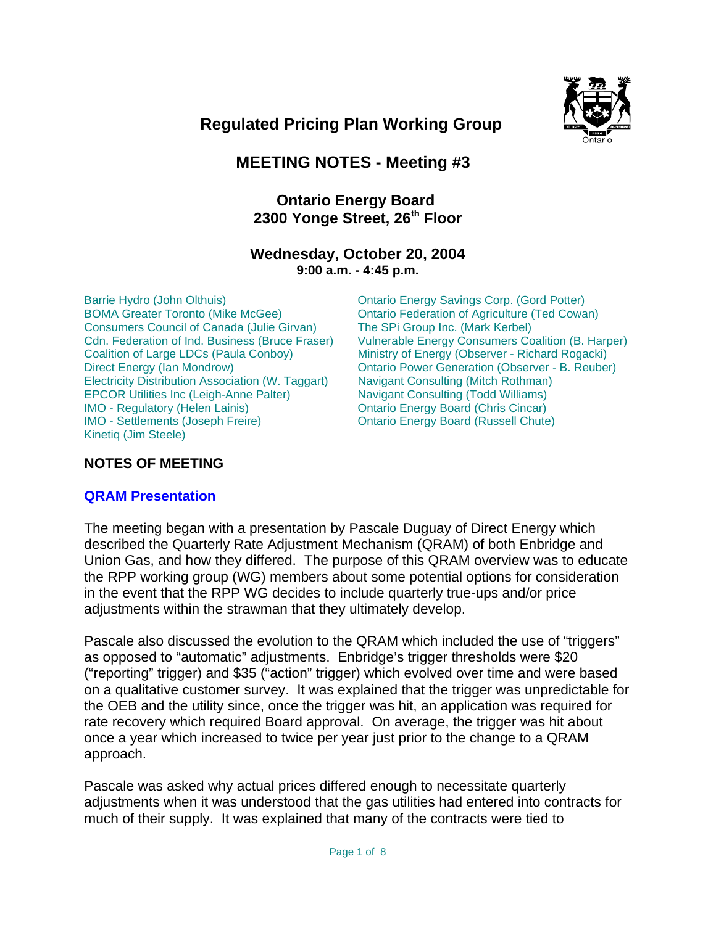

# **Regulated Pricing Plan Working Group**

# **MEETING NOTES - Meeting #3**

## **Ontario Energy Board**  2300 Yonge Street, 26<sup>th</sup> Floor

## **Wednesday, October 20, 2004 9:00 a.m. - 4:45 p.m.**

Barrie Hydro (John Olthuis) BOMA Greater Toronto (Mike McGee) Consumers Council of Canada (Julie Girvan) Cdn. Federation of Ind. Business (Bruce Fraser) Coalition of Large LDCs (Paula Conboy) Direct Energy (Ian Mondrow) Electricity Distribution Association (W. Taggart) EPCOR Utilities Inc (Leigh-Anne Palter) IMO - Regulatory (Helen Lainis) IMO - Settlements (Joseph Freire) Kinetiq (Jim Steele)

Ontario Energy Savings Corp. (Gord Potter) Ontario Federation of Agriculture (Ted Cowan) The SPi Group Inc. (Mark Kerbel) Vulnerable Energy Consumers Coalition (B. Harper) Ministry of Energy (Observer - Richard Rogacki) Ontario Power Generation (Observer - B. Reuber) Navigant Consulting (Mitch Rothman) Navigant Consulting (Todd Williams) Ontario Energy Board (Chris Cincar) Ontario Energy Board (Russell Chute)

## **NOTES OF MEETING**

## **QRAM Presentation**

The meeting began with a presentation by Pascale Duguay of Direct Energy which described the Quarterly Rate Adjustment Mechanism (QRAM) of both Enbridge and Union Gas, and how they differed. The purpose of this QRAM overview was to educate the RPP working group (WG) members about some potential options for consideration in the event that the RPP WG decides to include quarterly true-ups and/or price adjustments within the strawman that they ultimately develop.

Pascale also discussed the evolution to the QRAM which included the use of "triggers" as opposed to "automatic" adjustments. Enbridge's trigger thresholds were \$20 ("reporting" trigger) and \$35 ("action" trigger) which evolved over time and were based on a qualitative customer survey. It was explained that the trigger was unpredictable for the OEB and the utility since, once the trigger was hit, an application was required for rate recovery which required Board approval. On average, the trigger was hit about once a year which increased to twice per year just prior to the change to a QRAM approach.

Pascale was asked why actual prices differed enough to necessitate quarterly adjustments when it was understood that the gas utilities had entered into contracts for much of their supply. It was explained that many of the contracts were tied to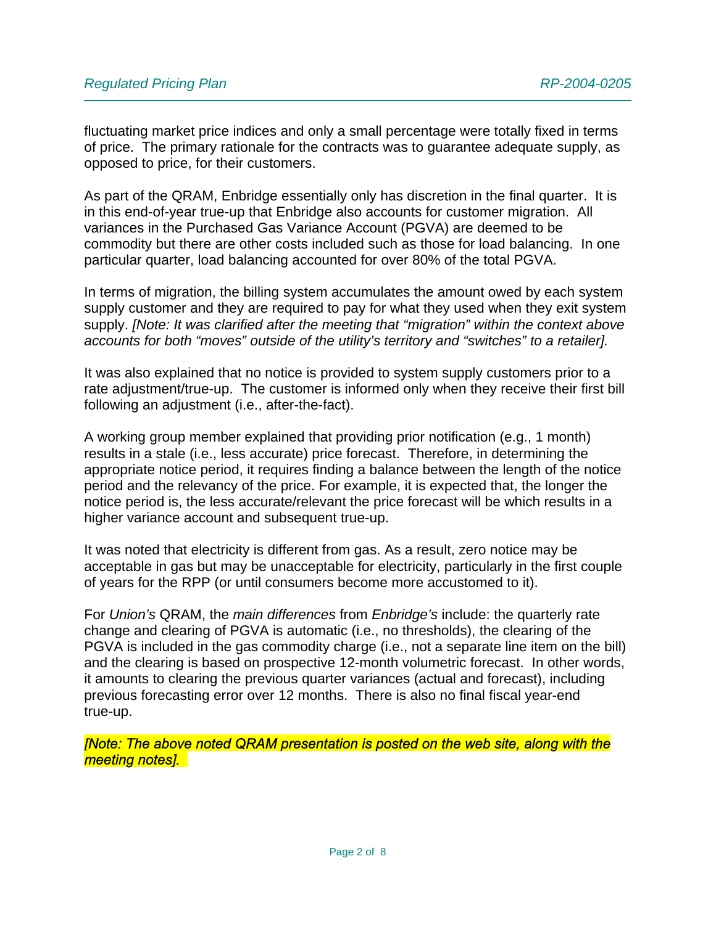fluctuating market price indices and only a small percentage were totally fixed in terms of price. The primary rationale for the contracts was to guarantee adequate supply, as opposed to price, for their customers.

As part of the QRAM, Enbridge essentially only has discretion in the final quarter. It is in this end-of-year true-up that Enbridge also accounts for customer migration. All variances in the Purchased Gas Variance Account (PGVA) are deemed to be commodity but there are other costs included such as those for load balancing. In one particular quarter, load balancing accounted for over 80% of the total PGVA.

In terms of migration, the billing system accumulates the amount owed by each system supply customer and they are required to pay for what they used when they exit system supply. *[Note: It was clarified after the meeting that "migration" within the context above accounts for both "moves" outside of the utility's territory and "switches" to a retailer].*

It was also explained that no notice is provided to system supply customers prior to a rate adjustment/true-up. The customer is informed only when they receive their first bill following an adjustment (i.e., after-the-fact).

A working group member explained that providing prior notification (e.g., 1 month) results in a stale (i.e., less accurate) price forecast. Therefore, in determining the appropriate notice period, it requires finding a balance between the length of the notice period and the relevancy of the price. For example, it is expected that, the longer the notice period is, the less accurate/relevant the price forecast will be which results in a higher variance account and subsequent true-up.

It was noted that electricity is different from gas. As a result, zero notice may be acceptable in gas but may be unacceptable for electricity, particularly in the first couple of years for the RPP (or until consumers become more accustomed to it).

For *Union's* QRAM, the *main differences* from *Enbridge's* include: the quarterly rate change and clearing of PGVA is automatic (i.e., no thresholds), the clearing of the PGVA is included in the gas commodity charge (i.e., not a separate line item on the bill) and the clearing is based on prospective 12-month volumetric forecast. In other words, it amounts to clearing the previous quarter variances (actual and forecast), including previous forecasting error over 12 months. There is also no final fiscal year-end true-up.

**Note: The above noted QRAM presentation is posted on the web site, along with the** meeting notes].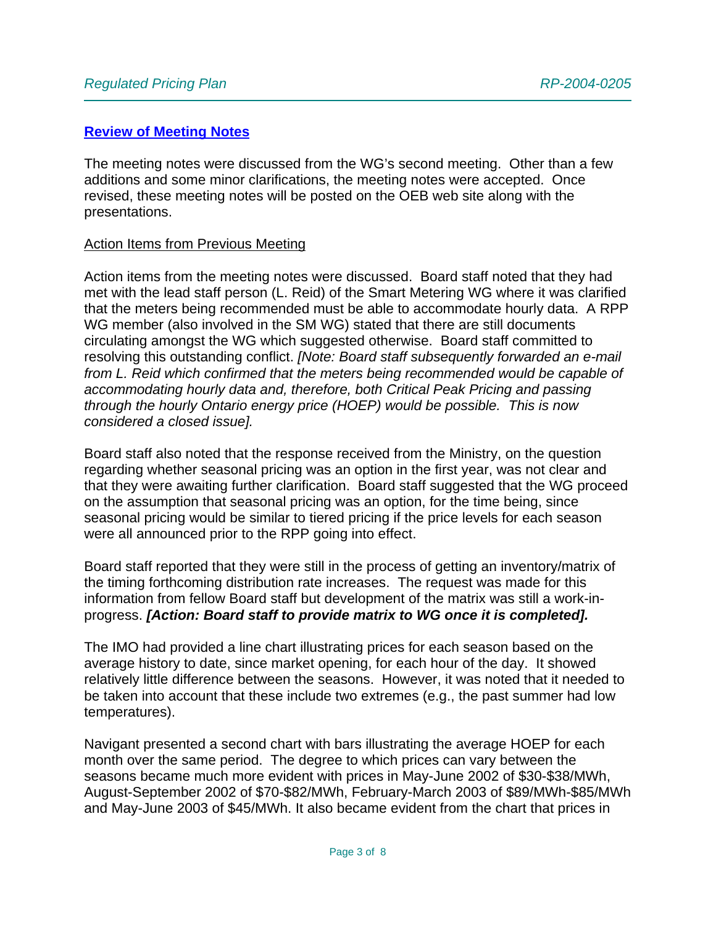#### **Review of Meeting Notes**

The meeting notes were discussed from the WG's second meeting. Other than a few additions and some minor clarifications, the meeting notes were accepted. Once revised, these meeting notes will be posted on the OEB web site along with the presentations.

#### Action Items from Previous Meeting

Action items from the meeting notes were discussed. Board staff noted that they had met with the lead staff person (L. Reid) of the Smart Metering WG where it was clarified that the meters being recommended must be able to accommodate hourly data. A RPP WG member (also involved in the SM WG) stated that there are still documents circulating amongst the WG which suggested otherwise. Board staff committed to resolving this outstanding conflict. *[Note: Board staff subsequently forwarded an e-mail from L. Reid which confirmed that the meters being recommended would be capable of accommodating hourly data and, therefore, both Critical Peak Pricing and passing through the hourly Ontario energy price (HOEP) would be possible. This is now considered a closed issue].*

Board staff also noted that the response received from the Ministry, on the question regarding whether seasonal pricing was an option in the first year, was not clear and that they were awaiting further clarification. Board staff suggested that the WG proceed on the assumption that seasonal pricing was an option, for the time being, since seasonal pricing would be similar to tiered pricing if the price levels for each season were all announced prior to the RPP going into effect.

Board staff reported that they were still in the process of getting an inventory/matrix of the timing forthcoming distribution rate increases. The request was made for this information from fellow Board staff but development of the matrix was still a work-inprogress. *[Action: Board staff to provide matrix to WG once it is completed].*

The IMO had provided a line chart illustrating prices for each season based on the average history to date, since market opening, for each hour of the day. It showed relatively little difference between the seasons. However, it was noted that it needed to be taken into account that these include two extremes (e.g., the past summer had low temperatures).

Navigant presented a second chart with bars illustrating the average HOEP for each month over the same period. The degree to which prices can vary between the seasons became much more evident with prices in May-June 2002 of \$30-\$38/MWh, August-September 2002 of \$70-\$82/MWh, February-March 2003 of \$89/MWh-\$85/MWh and May-June 2003 of \$45/MWh. It also became evident from the chart that prices in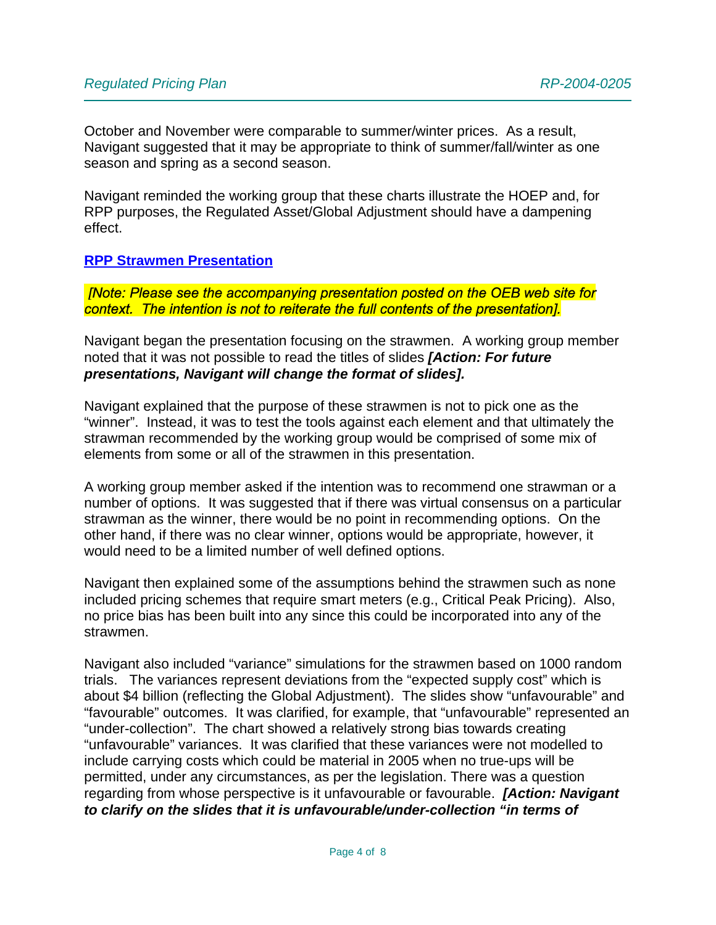October and November were comparable to summer/winter prices. As a result, Navigant suggested that it may be appropriate to think of summer/fall/winter as one season and spring as a second season.

Navigant reminded the working group that these charts illustrate the HOEP and, for RPP purposes, the Regulated Asset/Global Adjustment should have a dampening effect.

#### **RPP Strawmen Presentation**

**Note: Please see the accompanying presentation posted on the OEB web site for** context. The intention is not to reiterate the full contents of the presentation].

Navigant began the presentation focusing on the strawmen. A working group member noted that it was not possible to read the titles of slides *[Action: For future presentations, Navigant will change the format of slides].*

Navigant explained that the purpose of these strawmen is not to pick one as the "winner". Instead, it was to test the tools against each element and that ultimately the strawman recommended by the working group would be comprised of some mix of elements from some or all of the strawmen in this presentation.

A working group member asked if the intention was to recommend one strawman or a number of options. It was suggested that if there was virtual consensus on a particular strawman as the winner, there would be no point in recommending options. On the other hand, if there was no clear winner, options would be appropriate, however, it would need to be a limited number of well defined options.

Navigant then explained some of the assumptions behind the strawmen such as none included pricing schemes that require smart meters (e.g., Critical Peak Pricing). Also, no price bias has been built into any since this could be incorporated into any of the strawmen.

Navigant also included "variance" simulations for the strawmen based on 1000 random trials. The variances represent deviations from the "expected supply cost" which is about \$4 billion (reflecting the Global Adjustment). The slides show "unfavourable" and "favourable" outcomes. It was clarified, for example, that "unfavourable" represented an "under-collection". The chart showed a relatively strong bias towards creating "unfavourable" variances. It was clarified that these variances were not modelled to include carrying costs which could be material in 2005 when no true-ups will be permitted, under any circumstances, as per the legislation. There was a question regarding from whose perspective is it unfavourable or favourable. *[Action: Navigant to clarify on the slides that it is unfavourable/under-collection "in terms of*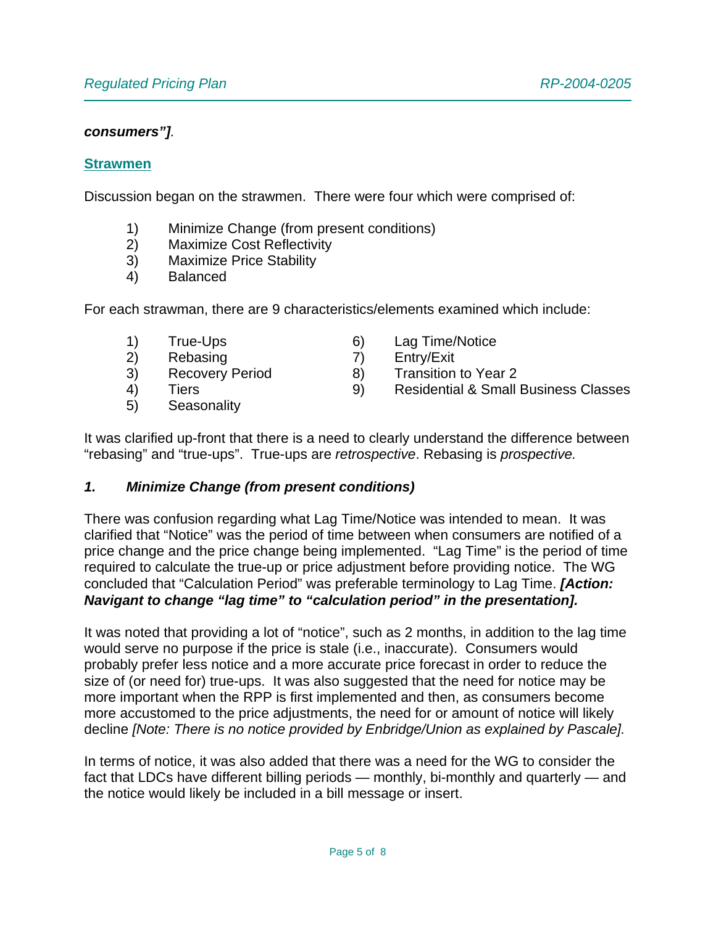#### *consumers"].*

#### **Strawmen**

Discussion began on the strawmen. There were four which were comprised of:

- 1) Minimize Change (from present conditions)
- 2) Maximize Cost Reflectivity
- 3) Maximize Price Stability
- 4) Balanced

For each strawman, there are 9 characteristics/elements examined which include:

- 1) True-Ups
- 2) Rebasing
- 3) Recovery Period
- 4) Tiers
- 5) Seasonality
- 6) Lag Time/Notice
- 7) Entry/Exit
- 8) Transition to Year 2
- 9) Residential & Small Business Classes

It was clarified up-front that there is a need to clearly understand the difference between "rebasing" and "true-ups". True-ups are *retrospective*. Rebasing is *prospective.*

## *1. Minimize Change (from present conditions)*

There was confusion regarding what Lag Time/Notice was intended to mean. It was clarified that "Notice" was the period of time between when consumers are notified of a price change and the price change being implemented. "Lag Time" is the period of time required to calculate the true-up or price adjustment before providing notice. The WG concluded that "Calculation Period" was preferable terminology to Lag Time. *[Action: Navigant to change "lag time" to "calculation period" in the presentation].*

It was noted that providing a lot of "notice", such as 2 months, in addition to the lag time would serve no purpose if the price is stale (i.e., inaccurate). Consumers would probably prefer less notice and a more accurate price forecast in order to reduce the size of (or need for) true-ups. It was also suggested that the need for notice may be more important when the RPP is first implemented and then, as consumers become more accustomed to the price adjustments, the need for or amount of notice will likely decline *[Note: There is no notice provided by Enbridge/Union as explained by Pascale].*

In terms of notice, it was also added that there was a need for the WG to consider the fact that LDCs have different billing periods — monthly, bi-monthly and quarterly — and the notice would likely be included in a bill message or insert.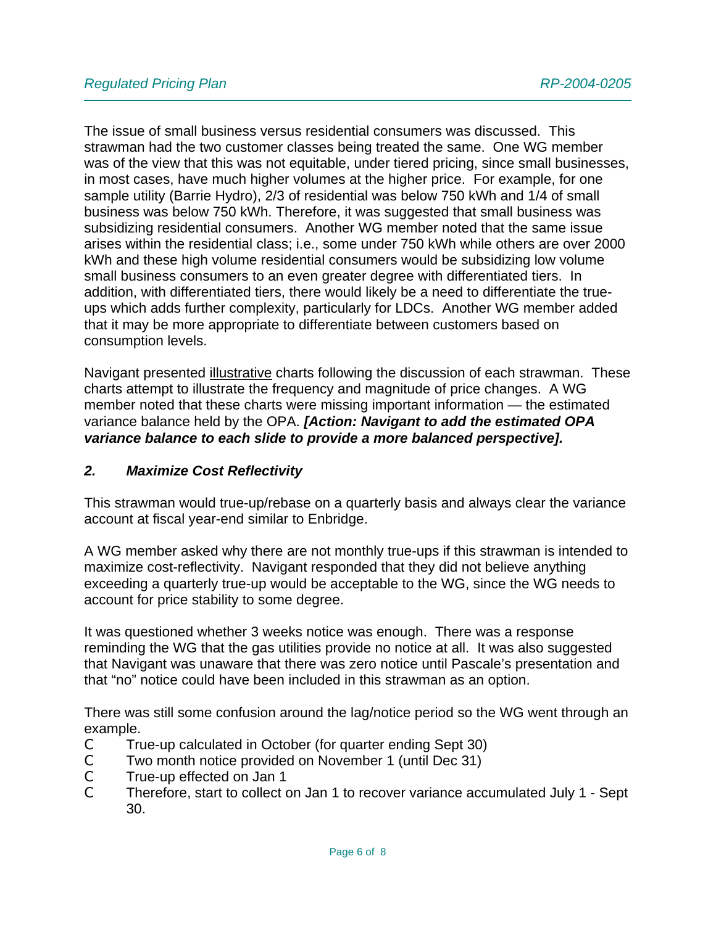The issue of small business versus residential consumers was discussed. This strawman had the two customer classes being treated the same. One WG member was of the view that this was not equitable, under tiered pricing, since small businesses, in most cases, have much higher volumes at the higher price. For example, for one sample utility (Barrie Hydro), 2/3 of residential was below 750 kWh and 1/4 of small business was below 750 kWh. Therefore, it was suggested that small business was subsidizing residential consumers. Another WG member noted that the same issue arises within the residential class; i.e., some under 750 kWh while others are over 2000 kWh and these high volume residential consumers would be subsidizing low volume small business consumers to an even greater degree with differentiated tiers. In addition, with differentiated tiers, there would likely be a need to differentiate the trueups which adds further complexity, particularly for LDCs. Another WG member added that it may be more appropriate to differentiate between customers based on consumption levels.

Navigant presented illustrative charts following the discussion of each strawman. These charts attempt to illustrate the frequency and magnitude of price changes. A WG member noted that these charts were missing important information — the estimated variance balance held by the OPA. *[Action: Navigant to add the estimated OPA variance balance to each slide to provide a more balanced perspective].*

## *2. Maximize Cost Reflectivity*

This strawman would true-up/rebase on a quarterly basis and always clear the variance account at fiscal year-end similar to Enbridge.

A WG member asked why there are not monthly true-ups if this strawman is intended to maximize cost-reflectivity. Navigant responded that they did not believe anything exceeding a quarterly true-up would be acceptable to the WG, since the WG needs to account for price stability to some degree.

It was questioned whether 3 weeks notice was enough. There was a response reminding the WG that the gas utilities provide no notice at all. It was also suggested that Navigant was unaware that there was zero notice until Pascale's presentation and that "no" notice could have been included in this strawman as an option.

There was still some confusion around the lag/notice period so the WG went through an example.

- C True-up calculated in October (for quarter ending Sept 30)
- C Two month notice provided on November 1 (until Dec 31)
- C True-up effected on Jan 1
- C Therefore, start to collect on Jan 1 to recover variance accumulated July 1 Sept 30.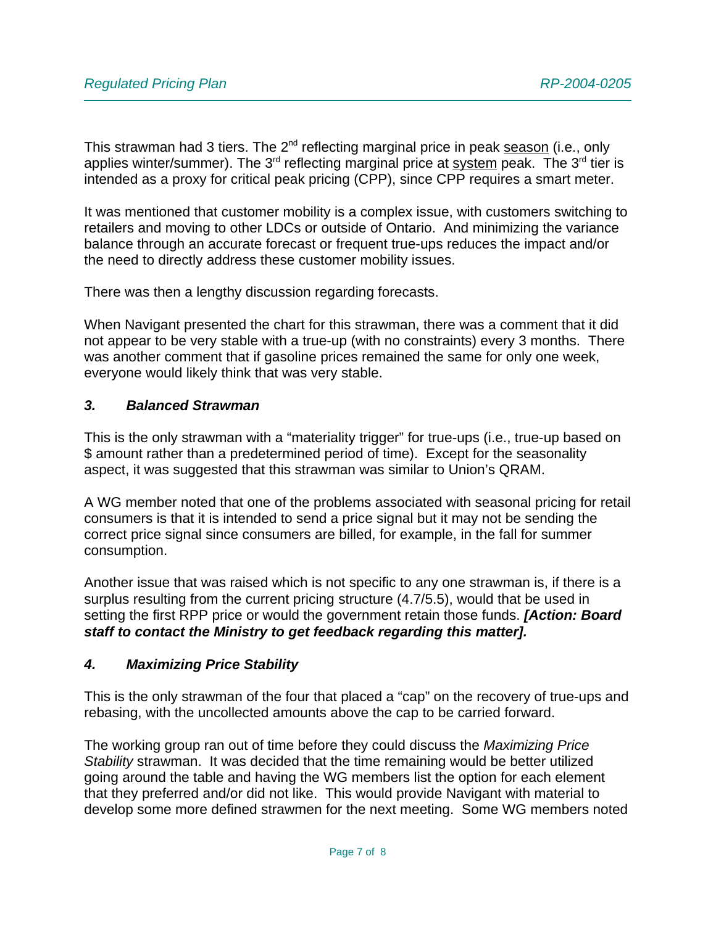This strawman had 3 tiers. The 2<sup>nd</sup> reflecting marginal price in peak season (i.e., only applies winter/summer). The  $3<sup>rd</sup>$  reflecting marginal price at system peak. The  $3<sup>rd</sup>$  tier is intended as a proxy for critical peak pricing (CPP), since CPP requires a smart meter.

It was mentioned that customer mobility is a complex issue, with customers switching to retailers and moving to other LDCs or outside of Ontario. And minimizing the variance balance through an accurate forecast or frequent true-ups reduces the impact and/or the need to directly address these customer mobility issues.

There was then a lengthy discussion regarding forecasts.

When Navigant presented the chart for this strawman, there was a comment that it did not appear to be very stable with a true-up (with no constraints) every 3 months. There was another comment that if gasoline prices remained the same for only one week, everyone would likely think that was very stable.

#### *3. Balanced Strawman*

This is the only strawman with a "materiality trigger" for true-ups (i.e., true-up based on \$ amount rather than a predetermined period of time). Except for the seasonality aspect, it was suggested that this strawman was similar to Union's QRAM.

A WG member noted that one of the problems associated with seasonal pricing for retail consumers is that it is intended to send a price signal but it may not be sending the correct price signal since consumers are billed, for example, in the fall for summer consumption.

Another issue that was raised which is not specific to any one strawman is, if there is a surplus resulting from the current pricing structure (4.7/5.5), would that be used in setting the first RPP price or would the government retain those funds. *[Action: Board staff to contact the Ministry to get feedback regarding this matter].* 

## *4. Maximizing Price Stability*

This is the only strawman of the four that placed a "cap" on the recovery of true-ups and rebasing, with the uncollected amounts above the cap to be carried forward.

The working group ran out of time before they could discuss the *Maximizing Price Stability* strawman. It was decided that the time remaining would be better utilized going around the table and having the WG members list the option for each element that they preferred and/or did not like. This would provide Navigant with material to develop some more defined strawmen for the next meeting. Some WG members noted